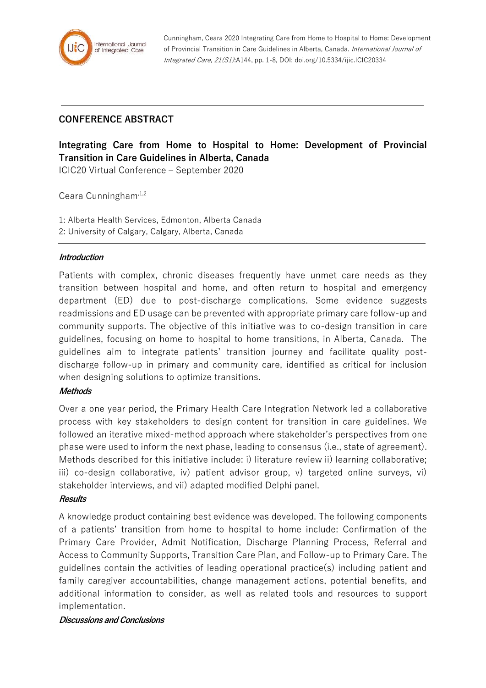

Cunningham, Ceara 2020 Integrating Care from Home to Hospital to Home: Development of Provincial Transition in Care Guidelines in Alberta, Canada. International Journal of Integrated Care, 21(S1):A144, pp. 1-8, DOI: doi.org/10.5334/ijic.ICIC20334

## **CONFERENCE ABSTRACT**

# **Integrating Care from Home to Hospital to Home: Development of Provincial Transition in Care Guidelines in Alberta, Canada**

ICIC20 Virtual Conference – September 2020

Ceara Cunningham<sup>,1,2</sup>

1: Alberta Health Services, Edmonton, Alberta Canada 2: University of Calgary, Calgary, Alberta, Canada

#### **Introduction**

Patients with complex, chronic diseases frequently have unmet care needs as they transition between hospital and home, and often return to hospital and emergency department (ED) due to post-discharge complications. Some evidence suggests readmissions and ED usage can be prevented with appropriate primary care follow-up and community supports. The objective of this initiative was to co-design transition in care guidelines, focusing on home to hospital to home transitions, in Alberta, Canada. The guidelines aim to integrate patients' transition journey and facilitate quality postdischarge follow-up in primary and community care, identified as critical for inclusion when designing solutions to optimize transitions.

#### **Methods**

Over a one year period, the Primary Health Care Integration Network led a collaborative process with key stakeholders to design content for transition in care guidelines. We followed an iterative mixed-method approach where stakeholder's perspectives from one phase were used to inform the next phase, leading to consensus (i.e., state of agreement). Methods described for this initiative include: i) literature review ii) learning collaborative; iii) co-design collaborative, iv) patient advisor group, v) targeted online surveys, vi) stakeholder interviews, and vii) adapted modified Delphi panel.

#### **Results**

A knowledge product containing best evidence was developed. The following components of a patients' transition from home to hospital to home include: Confirmation of the Primary Care Provider, Admit Notification, Discharge Planning Process, Referral and Access to Community Supports, Transition Care Plan, and Follow-up to Primary Care. The guidelines contain the activities of leading operational practice(s) including patient and family caregiver accountabilities, change management actions, potential benefits, and additional information to consider, as well as related tools and resources to support implementation.

#### **Discussions and Conclusions**